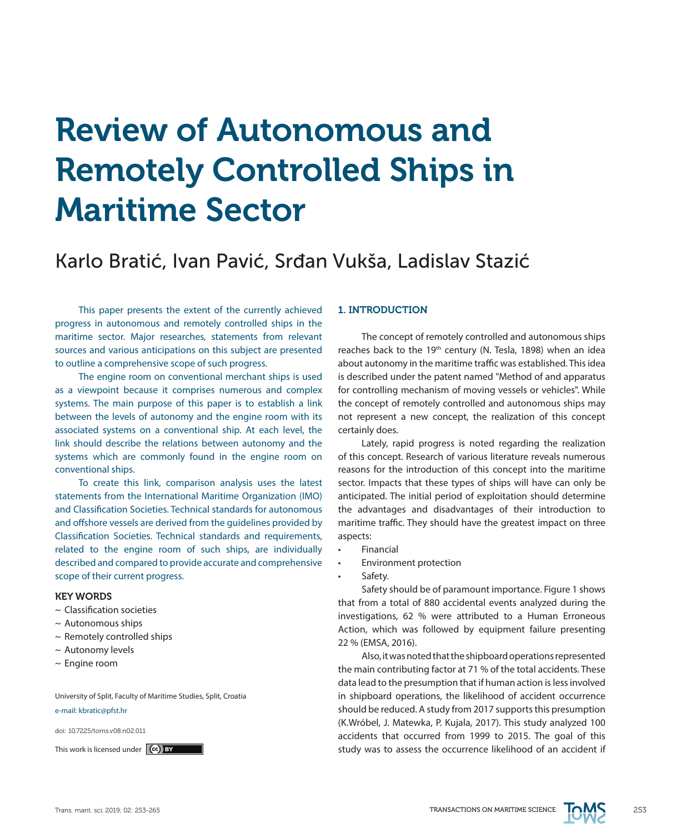# Review of Autonomous and Remotely Controlled Ships in Maritime Sector

# Karlo Bratić, Ivan Pavić, Srđan Vukša, Ladislav Stazić

This paper presents the extent of the currently achieved progress in autonomous and remotely controlled ships in the maritime sector. Major researches, statements from relevant sources and various anticipations on this subject are presented to outline a comprehensive scope of such progress.

The engine room on conventional merchant ships is used as a viewpoint because it comprises numerous and complex systems. The main purpose of this paper is to establish a link between the levels of autonomy and the engine room with its associated systems on a conventional ship. At each level, the link should describe the relations between autonomy and the systems which are commonly found in the engine room on conventional ships.

To create this link, comparison analysis uses the latest statements from the International Maritime Organization (IMO) and Classification Societies. Technical standards for autonomous and offshore vessels are derived from the guidelines provided by Classification Societies. Technical standards and requirements, related to the engine room of such ships, are individually described and compared to provide accurate and comprehensive scope of their current progress.

#### KEY WORDS

- ~ Classification societies
- $\sim$  Autonomous ships
- $\sim$  Remotely controlled ships
- ~ Autonomy levels
- ~ Engine room

University of Split, Faculty of Maritime Studies, Split, Croatia e-mail: kbratic@pfst.hr

doi: 10.7225/toms.v08.n02.011

#### 1. INTRODUCTION

The concept of remotely controlled and autonomous ships reaches back to the 19<sup>th</sup> century (N. Tesla, 1898) when an idea about autonomy in the maritime traffic was established. This idea is described under the patent named "Method of and apparatus for controlling mechanism of moving vessels or vehicles". While the concept of remotely controlled and autonomous ships may not represent a new concept, the realization of this concept certainly does.

Lately, rapid progress is noted regarding the realization of this concept. Research of various literature reveals numerous reasons for the introduction of this concept into the maritime sector. Impacts that these types of ships will have can only be anticipated. The initial period of exploitation should determine the advantages and disadvantages of their introduction to maritime traffic. They should have the greatest impact on three aspects:

- **Financial**
- **Environment protection**
- Safety.

Safety should be of paramount importance. Figure 1 shows that from a total of 880 accidental events analyzed during the investigations, 62 % were attributed to a Human Erroneous Action, which was followed by equipment failure presenting 22 % (EMSA, 2016).

Also, it was noted that the shipboard operations represented the main contributing factor at 71 % of the total accidents. These data lead to the presumption that if human action is less involved in shipboard operations, the likelihood of accident occurrence should be reduced. A study from 2017 supports this presumption (K.Wróbel, J. Matewka, P. Kujala, 2017). This study analyzed 100 accidents that occurred from 1999 to 2015. The goal of this This work is licensed under study was to assess the occurrence likelihood of an accident if

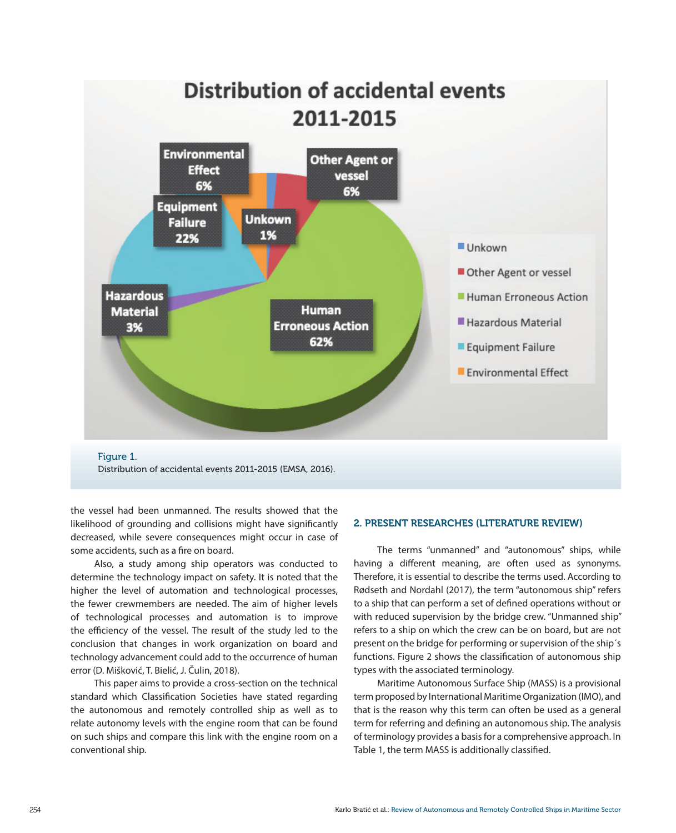

Distribution of accidental events 2011-2015 (EMSA, 2016).

the vessel had been unmanned. The results showed that the likelihood of grounding and collisions might have significantly decreased, while severe consequences might occur in case of some accidents, such as a fire on board.

Also, a study among ship operators was conducted to determine the technology impact on safety. It is noted that the higher the level of automation and technological processes, the fewer crewmembers are needed. The aim of higher levels of technological processes and automation is to improve the efficiency of the vessel. The result of the study led to the conclusion that changes in work organization on board and technology advancement could add to the occurrence of human error (D. Mišković, T. Bielić, J. Čulin, 2018).

This paper aims to provide a cross-section on the technical standard which Classification Societies have stated regarding the autonomous and remotely controlled ship as well as to relate autonomy levels with the engine room that can be found on such ships and compare this link with the engine room on a conventional ship.

#### 2. PRESENT RESEARCHES (LITERATURE REVIEW)

The terms "unmanned" and "autonomous" ships, while having a different meaning, are often used as synonyms. Therefore, it is essential to describe the terms used. According to Rødseth and Nordahl (2017), the term "autonomous ship" refers to a ship that can perform a set of defined operations without or with reduced supervision by the bridge crew. "Unmanned ship" refers to a ship on which the crew can be on board, but are not present on the bridge for performing or supervision of the ship´s functions. Figure 2 shows the classification of autonomous ship types with the associated terminology.

Maritime Autonomous Surface Ship (MASS) is a provisional term proposed by International Maritime Organization (IMO), and that is the reason why this term can often be used as a general term for referring and defining an autonomous ship. The analysis of terminology provides a basis for a comprehensive approach. In Table 1, the term MASS is additionally classified.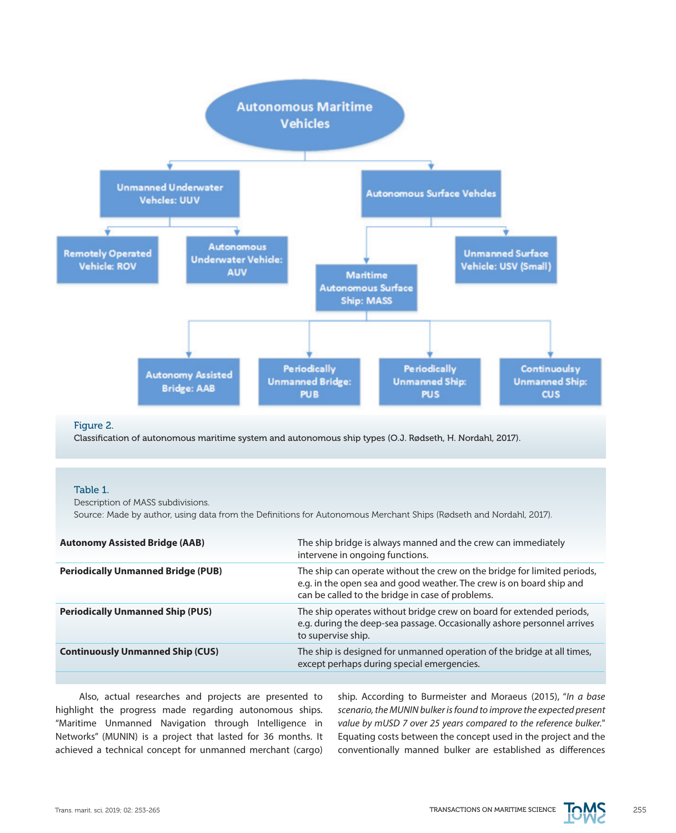

Figure 2.

Classification of autonomous maritime system and autonomous ship types (O.J. Rødseth, H. Nordahl, 2017).

#### Table 1.

Description of MASS subdivisions.

Source: Made by author, using data from the Definitions for Autonomous Merchant Ships (Rødseth and Nordahl, 2017).

| <b>Autonomy Assisted Bridge (AAB)</b>     | The ship bridge is always manned and the crew can immediately<br>intervene in ongoing functions.                                                                                                     |
|-------------------------------------------|------------------------------------------------------------------------------------------------------------------------------------------------------------------------------------------------------|
| <b>Periodically Unmanned Bridge (PUB)</b> | The ship can operate without the crew on the bridge for limited periods,<br>e.g. in the open sea and good weather. The crew is on board ship and<br>can be called to the bridge in case of problems. |
| <b>Periodically Unmanned Ship (PUS)</b>   | The ship operates without bridge crew on board for extended periods,<br>e.g. during the deep-sea passage. Occasionally ashore personnel arrives<br>to supervise ship.                                |
| <b>Continuously Unmanned Ship (CUS)</b>   | The ship is designed for unmanned operation of the bridge at all times,<br>except perhaps during special emergencies.                                                                                |
|                                           |                                                                                                                                                                                                      |

Also, actual researches and projects are presented to highlight the progress made regarding autonomous ships. "Maritime Unmanned Navigation through Intelligence in Networks" (MUNIN) is a project that lasted for 36 months. It achieved a technical concept for unmanned merchant (cargo) ship. According to Burmeister and Moraeus (2015), "*In a base scenario, the MUNIN bulker is found to improve the expected present value by mUSD 7 over 25 years compared to the reference bulker.*" Equating costs between the concept used in the project and the conventionally manned bulker are established as differences

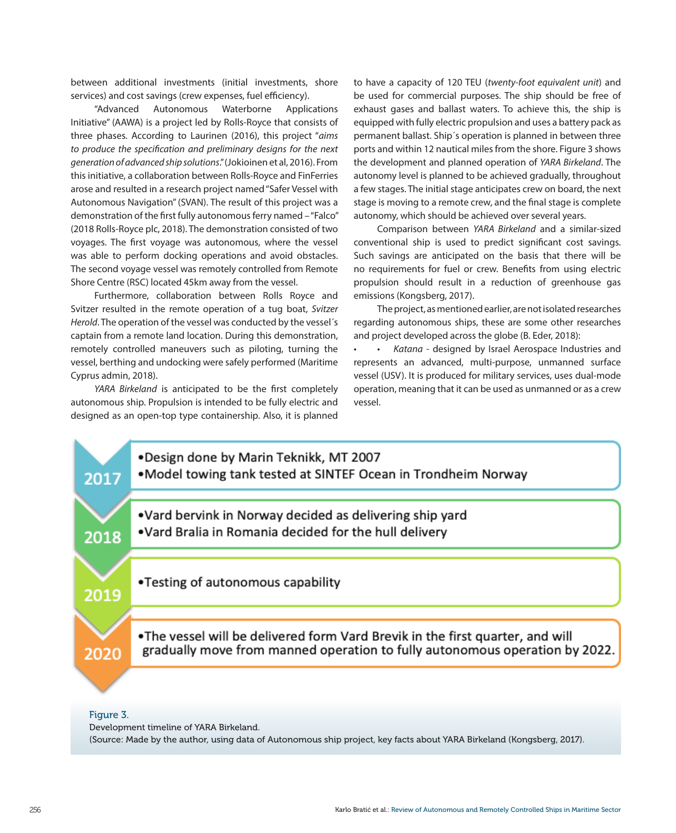between additional investments (initial investments, shore services) and cost savings (crew expenses, fuel efficiency).

"Advanced Autonomous Waterborne Applications Initiative" (AAWA) is a project led by Rolls-Royce that consists of three phases. According to Laurinen (2016), this project "*aims to produce the specification and preliminary designs for the next generation of advanced ship solutions*." (Jokioinen et al, 2016). From this initiative, a collaboration between Rolls-Royce and FinFerries arose and resulted in a research project named "Safer Vessel with Autonomous Navigation" (SVAN). The result of this project was a demonstration of the first fully autonomous ferry named – "Falco" (2018 Rolls-Royce plc, 2018). The demonstration consisted of two voyages. The first voyage was autonomous, where the vessel was able to perform docking operations and avoid obstacles. The second voyage vessel was remotely controlled from Remote Shore Centre (RSC) located 45km away from the vessel.

Furthermore, collaboration between Rolls Royce and Svitzer resulted in the remote operation of a tug boat, *Svitzer Herold*. The operation of the vessel was conducted by the vessel´s captain from a remote land location. During this demonstration, remotely controlled maneuvers such as piloting, turning the vessel, berthing and undocking were safely performed (Maritime Cyprus admin, 2018).

*YARA Birkeland* is anticipated to be the first completely autonomous ship. Propulsion is intended to be fully electric and designed as an open-top type containership. Also, it is planned

to have a capacity of 120 TEU (*twenty-foot equivalent unit*) and be used for commercial purposes. The ship should be free of exhaust gases and ballast waters. To achieve this, the ship is equipped with fully electric propulsion and uses a battery pack as permanent ballast. Ship´s operation is planned in between three ports and within 12 nautical miles from the shore. Figure 3 shows the development and planned operation of *YARA Birkeland*. The autonomy level is planned to be achieved gradually, throughout a few stages. The initial stage anticipates crew on board, the next stage is moving to a remote crew, and the final stage is complete autonomy, which should be achieved over several years.

Comparison between *YARA Birkeland* and a similar-sized conventional ship is used to predict significant cost savings. Such savings are anticipated on the basis that there will be no requirements for fuel or crew. Benefits from using electric propulsion should result in a reduction of greenhouse gas emissions (Kongsberg, 2017).

The project, as mentioned earlier, are not isolated researches regarding autonomous ships, these are some other researches and project developed across the globe (B. Eder, 2018):

• • *Katana* - designed by Israel Aerospace Industries and represents an advanced, multi-purpose, unmanned surface vessel (USV). It is produced for military services, uses dual-mode operation, meaning that it can be used as unmanned or as a crew vessel.



#### Figure 3.

Development timeline of YARA Birkeland.

(Source: Made by the author, using data of Autonomous ship project, key facts about YARA Birkeland (Kongsberg, 2017).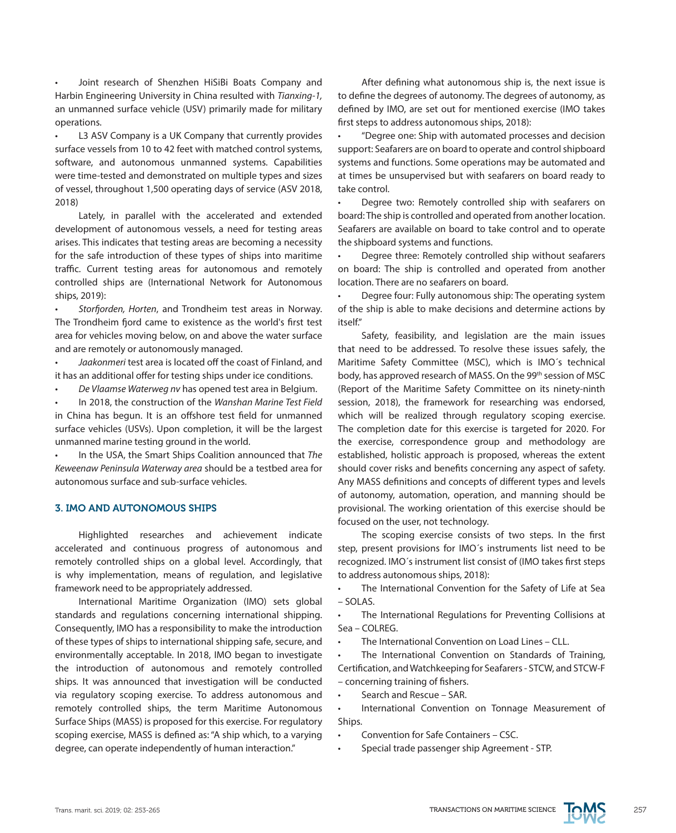Joint research of Shenzhen HiSiBi Boats Company and Harbin Engineering University in China resulted with *Tianxing-1,* an unmanned surface vehicle (USV) primarily made for military operations.

• L3 ASV Company is a UK Company that currently provides surface vessels from 10 to 42 feet with matched control systems, software, and autonomous unmanned systems. Capabilities were time-tested and demonstrated on multiple types and sizes of vessel, throughout 1,500 operating days of service (ASV 2018, 2018)

Lately, in parallel with the accelerated and extended development of autonomous vessels, a need for testing areas arises. This indicates that testing areas are becoming a necessity for the safe introduction of these types of ships into maritime traffic. Current testing areas for autonomous and remotely controlled ships are (International Network for Autonomous ships, 2019):

Storfjorden, Horten, and Trondheim test areas in Norway. The Trondheim fjord came to existence as the world's first test area for vehicles moving below, on and above the water surface and are remotely or autonomously managed.

Jaakonmeri test area is located off the coast of Finland, and it has an additional offer for testing ships under ice conditions.

De Vlaamse Waterweg nv has opened test area in Belgium.

In 2018, the construction of the *Wanshan Marine Test Field* in China has begun. It is an offshore test field for unmanned surface vehicles (USVs). Upon completion, it will be the largest unmanned marine testing ground in the world.

In the USA, the Smart Ships Coalition announced that *The Keweenaw Peninsula Waterway area* should be a testbed area for autonomous surface and sub-surface vehicles.

#### 3. IMO AND AUTONOMOUS SHIPS

Highlighted researches and achievement indicate accelerated and continuous progress of autonomous and remotely controlled ships on a global level. Accordingly, that is why implementation, means of regulation, and legislative framework need to be appropriately addressed.

International Maritime Organization (IMO) sets global standards and regulations concerning international shipping. Consequently, IMO has a responsibility to make the introduction of these types of ships to international shipping safe, secure, and environmentally acceptable. In 2018, IMO began to investigate the introduction of autonomous and remotely controlled ships. It was announced that investigation will be conducted via regulatory scoping exercise. To address autonomous and remotely controlled ships, the term Maritime Autonomous Surface Ships (MASS) is proposed for this exercise. For regulatory scoping exercise, MASS is defined as: "A ship which, to a varying degree, can operate independently of human interaction."

After defining what autonomous ship is, the next issue is to define the degrees of autonomy. The degrees of autonomy, as defined by IMO, are set out for mentioned exercise (IMO takes first steps to address autonomous ships, 2018):

"Degree one: Ship with automated processes and decision support: Seafarers are on board to operate and control shipboard systems and functions. Some operations may be automated and at times be unsupervised but with seafarers on board ready to take control.

Degree two: Remotely controlled ship with seafarers on board: The ship is controlled and operated from another location. Seafarers are available on board to take control and to operate the shipboard systems and functions.

Degree three: Remotely controlled ship without seafarers on board: The ship is controlled and operated from another location. There are no seafarers on board.

Degree four: Fully autonomous ship: The operating system of the ship is able to make decisions and determine actions by itself."

Safety, feasibility, and legislation are the main issues that need to be addressed. To resolve these issues safely, the Maritime Safety Committee (MSC), which is IMO´s technical body, has approved research of MASS. On the 99<sup>th</sup> session of MSC (Report of the Maritime Safety Committee on its ninety-ninth session, 2018), the framework for researching was endorsed, which will be realized through regulatory scoping exercise. The completion date for this exercise is targeted for 2020. For the exercise, correspondence group and methodology are established, holistic approach is proposed, whereas the extent should cover risks and benefits concerning any aspect of safety. Any MASS definitions and concepts of different types and levels of autonomy, automation, operation, and manning should be provisional. The working orientation of this exercise should be focused on the user, not technology.

The scoping exercise consists of two steps. In the first step, present provisions for IMO´s instruments list need to be recognized. IMO´s instrument list consist of (IMO takes first steps to address autonomous ships, 2018):

The International Convention for the Safety of Life at Sea – SOLAS.

The International Regulations for Preventing Collisions at Sea – COLREG.

• The International Convention on Load Lines – CLL.

The International Convention on Standards of Training, Certification, and Watchkeeping for Seafarers - STCW, and STCW-F – concerning training of fishers.

Search and Rescue – SAR.

International Convention on Tonnage Measurement of Ships.

• Convention for Safe Containers – CSC.

• Special trade passenger ship Agreement - STP.

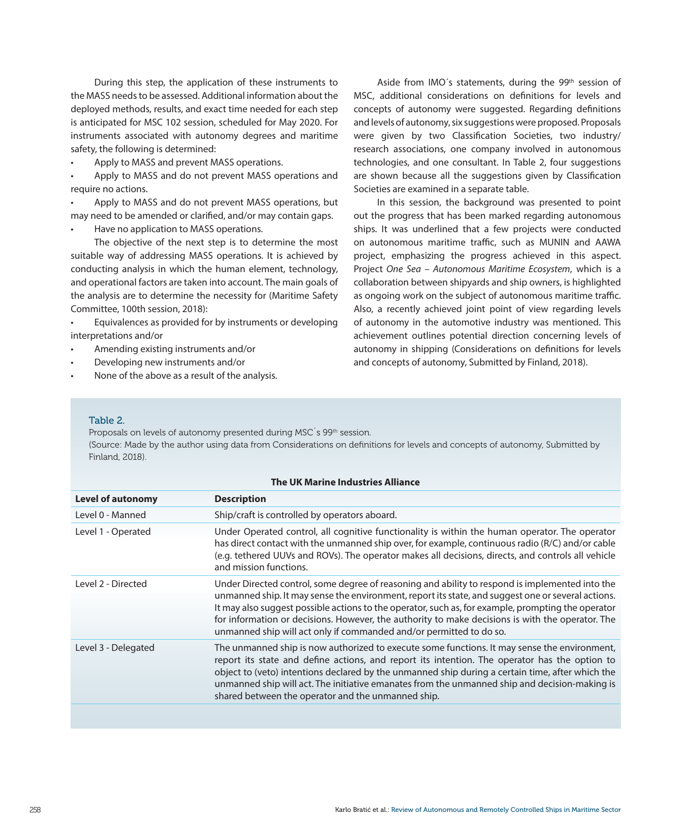During this step, the application of these instruments to the MASS needs to be assessed. Additional information about the deployed methods, results, and exact time needed for each step is anticipated for MSC 102 session, scheduled for May 2020. For instruments associated with autonomy degrees and maritime safety, the following is determined:

Apply to MASS and prevent MASS operations.

Apply to MASS and do not prevent MASS operations and require no actions.

Apply to MASS and do not prevent MASS operations, but may need to be amended or clarified, and/or may contain gaps.

Have no application to MASS operations.

The objective of the next step is to determine the most suitable way of addressing MASS operations. It is achieved by conducting analysis in which the human element, technology, and operational factors are taken into account. The main goals of the analysis are to determine the necessity for (Maritime Safety Committee, 100th session, 2018):

Equivalences as provided for by instruments or developing interpretations and/or

- Amending existing instruments and/or
- Developing new instruments and/or
- None of the above as a result of the analysis.

Aside from IMO's statements, during the 99<sup>th</sup> session of MSC, additional considerations on definitions for levels and concepts of autonomy were suggested. Regarding definitions and levels of autonomy, six suggestions were proposed. Proposals were given by two Classification Societies, two industry/ research associations, one company involved in autonomous technologies, and one consultant. In Table 2, four suggestions are shown because all the suggestions given by Classification Societies are examined in a separate table.

In this session, the background was presented to point out the progress that has been marked regarding autonomous ships. It was underlined that a few projects were conducted on autonomous maritime traffic, such as MUNIN and AAWA project, emphasizing the progress achieved in this aspect. Project *One Sea – Autonomous Maritime Ecosystem*, which is a collaboration between shipyards and ship owners, is highlighted as ongoing work on the subject of autonomous maritime traffic. Also, a recently achieved joint point of view regarding levels of autonomy in the automotive industry was mentioned. This achievement outlines potential direction concerning levels of autonomy in shipping (Considerations on definitions for levels and concepts of autonomy, Submitted by Finland, 2018).

#### Table 2.

Proposals on levels of autonomy presented during MSC<sup>'</sup>s 99<sup>th</sup> session.

(Source: Made by the author using data from Considerations on definitions for levels and concepts of autonomy, Submitted by Finland, 2018).

| <b>Level of autonomy</b> | <b>Description</b>                                                                                                                                                                                                                                                                                                                                                                                                                                                                     |
|--------------------------|----------------------------------------------------------------------------------------------------------------------------------------------------------------------------------------------------------------------------------------------------------------------------------------------------------------------------------------------------------------------------------------------------------------------------------------------------------------------------------------|
| Level 0 - Manned         | Ship/craft is controlled by operators aboard.                                                                                                                                                                                                                                                                                                                                                                                                                                          |
| Level 1 - Operated       | Under Operated control, all cognitive functionality is within the human operator. The operator<br>has direct contact with the unmanned ship over, for example, continuous radio (R/C) and/or cable<br>(e.g. tethered UUVs and ROVs). The operator makes all decisions, directs, and controls all vehicle<br>and mission functions.                                                                                                                                                     |
| Level 2 - Directed       | Under Directed control, some degree of reasoning and ability to respond is implemented into the<br>unmanned ship. It may sense the environment, report its state, and suggest one or several actions.<br>It may also suggest possible actions to the operator, such as, for example, prompting the operator<br>for information or decisions. However, the authority to make decisions is with the operator. The<br>unmanned ship will act only if commanded and/or permitted to do so. |
| Level 3 - Delegated      | The unmanned ship is now authorized to execute some functions. It may sense the environment,<br>report its state and define actions, and report its intention. The operator has the option to<br>object to (veto) intentions declared by the unmanned ship during a certain time, after which the<br>unmanned ship will act. The initiative emanates from the unmanned ship and decision-making is<br>shared between the operator and the unmanned ship.                               |
|                          |                                                                                                                                                                                                                                                                                                                                                                                                                                                                                        |

#### **The UK Marine Industries Alliance**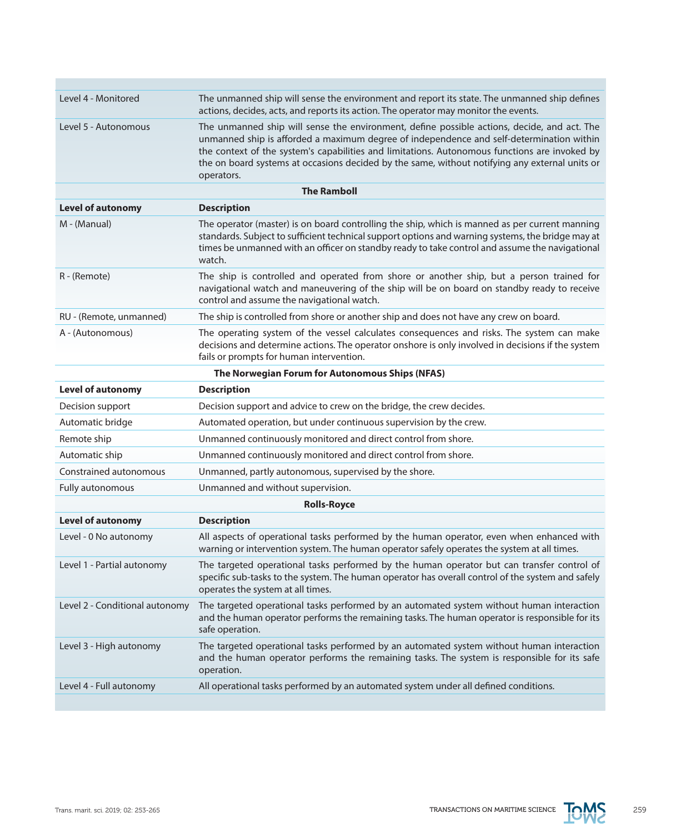| Level 4 - Monitored            | The unmanned ship will sense the environment and report its state. The unmanned ship defines<br>actions, decides, acts, and reports its action. The operator may monitor the events.                                                                                                                                                                                                                     |
|--------------------------------|----------------------------------------------------------------------------------------------------------------------------------------------------------------------------------------------------------------------------------------------------------------------------------------------------------------------------------------------------------------------------------------------------------|
| Level 5 - Autonomous           | The unmanned ship will sense the environment, define possible actions, decide, and act. The<br>unmanned ship is afforded a maximum degree of independence and self-determination within<br>the context of the system's capabilities and limitations. Autonomous functions are invoked by<br>the on board systems at occasions decided by the same, without notifying any external units or<br>operators. |
|                                | <b>The Ramboll</b>                                                                                                                                                                                                                                                                                                                                                                                       |
| <b>Level of autonomy</b>       | <b>Description</b>                                                                                                                                                                                                                                                                                                                                                                                       |
| M - (Manual)                   | The operator (master) is on board controlling the ship, which is manned as per current manning<br>standards. Subject to sufficient technical support options and warning systems, the bridge may at<br>times be unmanned with an officer on standby ready to take control and assume the navigational<br>watch.                                                                                          |
| R - (Remote)                   | The ship is controlled and operated from shore or another ship, but a person trained for<br>navigational watch and maneuvering of the ship will be on board on standby ready to receive<br>control and assume the navigational watch.                                                                                                                                                                    |
| RU - (Remote, unmanned)        | The ship is controlled from shore or another ship and does not have any crew on board.                                                                                                                                                                                                                                                                                                                   |
| A - (Autonomous)               | The operating system of the vessel calculates consequences and risks. The system can make<br>decisions and determine actions. The operator onshore is only involved in decisions if the system<br>fails or prompts for human intervention.                                                                                                                                                               |
|                                | The Norwegian Forum for Autonomous Ships (NFAS)                                                                                                                                                                                                                                                                                                                                                          |
| <b>Level of autonomy</b>       | <b>Description</b>                                                                                                                                                                                                                                                                                                                                                                                       |
| Decision support               | Decision support and advice to crew on the bridge, the crew decides.                                                                                                                                                                                                                                                                                                                                     |
| Automatic bridge               | Automated operation, but under continuous supervision by the crew.                                                                                                                                                                                                                                                                                                                                       |
| Remote ship                    | Unmanned continuously monitored and direct control from shore.                                                                                                                                                                                                                                                                                                                                           |
| Automatic ship                 | Unmanned continuously monitored and direct control from shore.                                                                                                                                                                                                                                                                                                                                           |
| Constrained autonomous         | Unmanned, partly autonomous, supervised by the shore.                                                                                                                                                                                                                                                                                                                                                    |
| Fully autonomous               | Unmanned and without supervision.                                                                                                                                                                                                                                                                                                                                                                        |
|                                | <b>Rolls-Royce</b>                                                                                                                                                                                                                                                                                                                                                                                       |
| <b>Level of autonomy</b>       | <b>Description</b>                                                                                                                                                                                                                                                                                                                                                                                       |
| Level - 0 No autonomy          | All aspects of operational tasks performed by the human operator, even when enhanced with<br>warning or intervention system. The human operator safely operates the system at all times.                                                                                                                                                                                                                 |
| Level 1 - Partial autonomy     | The targeted operational tasks performed by the human operator but can transfer control of<br>specific sub-tasks to the system. The human operator has overall control of the system and safely<br>operates the system at all times.                                                                                                                                                                     |
| Level 2 - Conditional autonomy | The targeted operational tasks performed by an automated system without human interaction<br>and the human operator performs the remaining tasks. The human operator is responsible for its<br>safe operation.                                                                                                                                                                                           |
| Level 3 - High autonomy        | The targeted operational tasks performed by an automated system without human interaction<br>and the human operator performs the remaining tasks. The system is responsible for its safe<br>operation.                                                                                                                                                                                                   |
| Level 4 - Full autonomy        | All operational tasks performed by an automated system under all defined conditions.                                                                                                                                                                                                                                                                                                                     |

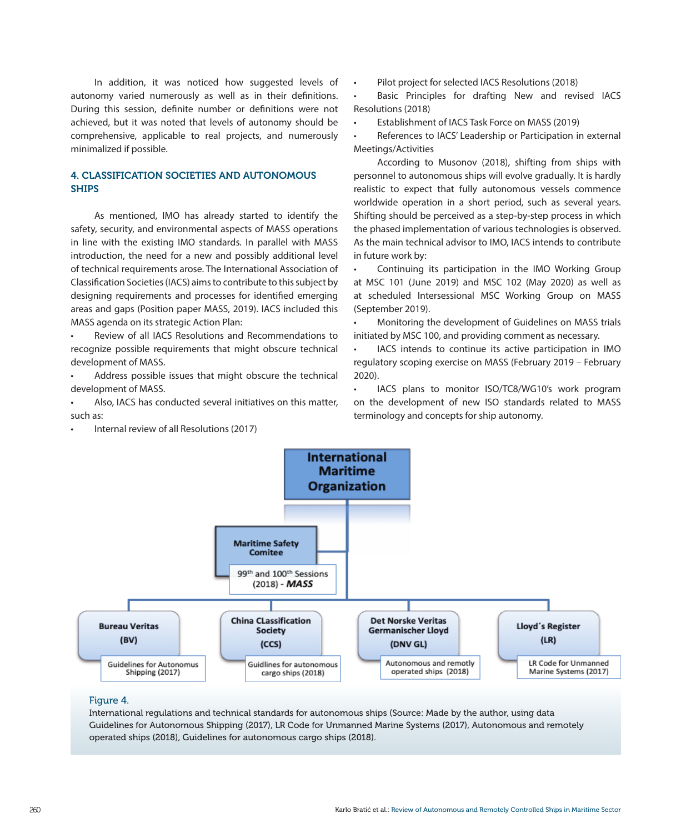In addition, it was noticed how suggested levels of autonomy varied numerously as well as in their definitions. During this session, definite number or definitions were not achieved, but it was noted that levels of autonomy should be comprehensive, applicable to real projects, and numerously minimalized if possible.

## 4. CLASSIFICATION SOCIETIES AND AUTONOMOUS SHIPS

As mentioned, IMO has already started to identify the safety, security, and environmental aspects of MASS operations in line with the existing IMO standards. In parallel with MASS introduction, the need for a new and possibly additional level of technical requirements arose. The International Association of Classification Societies (IACS) aims to contribute to this subject by designing requirements and processes for identified emerging areas and gaps (Position paper MASS, 2019). IACS included this MASS agenda on its strategic Action Plan:

Review of all IACS Resolutions and Recommendations to recognize possible requirements that might obscure technical development of MASS.

Address possible issues that might obscure the technical development of MASS.

Also, IACS has conducted several initiatives on this matter, such as:

Internal review of all Resolutions (2017)

Pilot project for selected IACS Resolutions (2018)

Basic Principles for drafting New and revised IACS Resolutions (2018)

Establishment of IACS Task Force on MASS (2019)

References to IACS' Leadership or Participation in external Meetings/Activities

According to Musonov (2018), shifting from ships with personnel to autonomous ships will evolve gradually. It is hardly realistic to expect that fully autonomous vessels commence worldwide operation in a short period, such as several years. Shifting should be perceived as a step-by-step process in which the phased implementation of various technologies is observed. As the main technical advisor to IMO, IACS intends to contribute in future work by:

• Continuing its participation in the IMO Working Group at MSC 101 (June 2019) and MSC 102 (May 2020) as well as at scheduled Intersessional MSC Working Group on MASS (September 2019).

Monitoring the development of Guidelines on MASS trials initiated by MSC 100, and providing comment as necessary.

IACS intends to continue its active participation in IMO regulatory scoping exercise on MASS (February 2019 – February 2020).

IACS plans to monitor ISO/TC8/WG10's work program on the development of new ISO standards related to MASS terminology and concepts for ship autonomy.



#### Figure 4.

International regulations and technical standards for autonomous ships (Source: Made by the author, using data Guidelines for Autonomous Shipping (2017), LR Code for Unmanned Marine Systems (2017), Autonomous and remotely operated ships (2018), Guidelines for autonomous cargo ships (2018).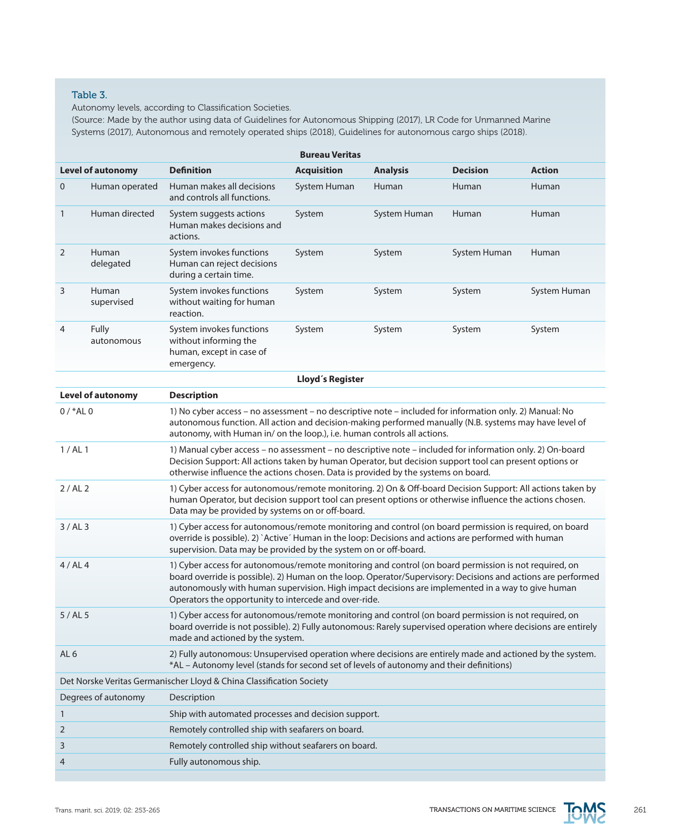### Table 3.

Autonomy levels, according to Classification Societies.

(Source: Made by the author using data of Guidelines for Autonomous Shipping (2017), LR Code for Unmanned Marine Systems (2017), Autonomous and remotely operated ships (2018), Guidelines for autonomous cargo ships (2018).

|                                                                                                                                                                                                                                                                                                                                                                                              |                                                      |                                                                                                                                                                                                                                                                                     | <b>Bureau Veritas</b> |                 |                 |               |
|----------------------------------------------------------------------------------------------------------------------------------------------------------------------------------------------------------------------------------------------------------------------------------------------------------------------------------------------------------------------------------------------|------------------------------------------------------|-------------------------------------------------------------------------------------------------------------------------------------------------------------------------------------------------------------------------------------------------------------------------------------|-----------------------|-----------------|-----------------|---------------|
|                                                                                                                                                                                                                                                                                                                                                                                              | <b>Level of autonomy</b>                             | <b>Definition</b>                                                                                                                                                                                                                                                                   | <b>Acquisition</b>    | <b>Analysis</b> | <b>Decision</b> | <b>Action</b> |
| $\mathbf{0}$                                                                                                                                                                                                                                                                                                                                                                                 | Human operated                                       | Human makes all decisions<br>and controls all functions.                                                                                                                                                                                                                            | System Human          | Human           | Human           | Human         |
| $\mathbf{1}$                                                                                                                                                                                                                                                                                                                                                                                 | Human directed                                       | System suggests actions<br>Human makes decisions and<br>actions.                                                                                                                                                                                                                    | System                | System Human    | Human           | Human         |
| 2                                                                                                                                                                                                                                                                                                                                                                                            | Human<br>delegated                                   | System invokes functions<br>Human can reject decisions<br>during a certain time.                                                                                                                                                                                                    | System                | System          | System Human    | Human         |
| 3                                                                                                                                                                                                                                                                                                                                                                                            | Human<br>supervised                                  | System invokes functions<br>without waiting for human<br>reaction.                                                                                                                                                                                                                  | System                | System          | System          | System Human  |
| $\overline{4}$                                                                                                                                                                                                                                                                                                                                                                               | Fully<br>autonomous                                  | System invokes functions<br>without informing the<br>human, except in case of<br>emergency.                                                                                                                                                                                         | System                | System          | System          | System        |
|                                                                                                                                                                                                                                                                                                                                                                                              |                                                      |                                                                                                                                                                                                                                                                                     | Lloyd's Register      |                 |                 |               |
|                                                                                                                                                                                                                                                                                                                                                                                              | <b>Level of autonomy</b>                             | <b>Description</b>                                                                                                                                                                                                                                                                  |                       |                 |                 |               |
| 1) No cyber access - no assessment - no descriptive note - included for information only. 2) Manual: No<br>$0$ / $*$ AL 0<br>autonomous function. All action and decision-making performed manually (N.B. systems may have level of<br>autonomy, with Human in/ on the loop.), i.e. human controls all actions.                                                                              |                                                      |                                                                                                                                                                                                                                                                                     |                       |                 |                 |               |
| 1/AL1<br>1) Manual cyber access - no assessment - no descriptive note - included for information only. 2) On-board<br>Decision Support: All actions taken by human Operator, but decision support tool can present options or<br>otherwise influence the actions chosen. Data is provided by the systems on board.                                                                           |                                                      |                                                                                                                                                                                                                                                                                     |                       |                 |                 |               |
| 2/AL2                                                                                                                                                                                                                                                                                                                                                                                        |                                                      | 1) Cyber access for autonomous/remote monitoring. 2) On & Off-board Decision Support: All actions taken by<br>human Operator, but decision support tool can present options or otherwise influence the actions chosen.<br>Data may be provided by systems on or off-board.          |                       |                 |                 |               |
| 3/AL3                                                                                                                                                                                                                                                                                                                                                                                        |                                                      | 1) Cyber access for autonomous/remote monitoring and control (on board permission is required, on board<br>override is possible). 2) `Active' Human in the loop: Decisions and actions are performed with human<br>supervision. Data may be provided by the system on or off-board. |                       |                 |                 |               |
| 1) Cyber access for autonomous/remote monitoring and control (on board permission is not required, on<br>4/AL4<br>board override is possible). 2) Human on the loop. Operator/Supervisory: Decisions and actions are performed<br>autonomously with human supervision. High impact decisions are implemented in a way to give human<br>Operators the opportunity to intercede and over-ride. |                                                      |                                                                                                                                                                                                                                                                                     |                       |                 |                 |               |
| 5/AL5                                                                                                                                                                                                                                                                                                                                                                                        |                                                      | 1) Cyber access for autonomous/remote monitoring and control (on board permission is not required, on<br>board override is not possible). 2) Fully autonomous: Rarely supervised operation where decisions are entirely<br>made and actioned by the system.                         |                       |                 |                 |               |
| AL 6                                                                                                                                                                                                                                                                                                                                                                                         |                                                      | 2) Fully autonomous: Unsupervised operation where decisions are entirely made and actioned by the system.<br>*AL - Autonomy level (stands for second set of levels of autonomy and their definitions)                                                                               |                       |                 |                 |               |
|                                                                                                                                                                                                                                                                                                                                                                                              |                                                      | Det Norske Veritas Germanischer Lloyd & China Classification Society                                                                                                                                                                                                                |                       |                 |                 |               |
| Degrees of autonomy<br>Description                                                                                                                                                                                                                                                                                                                                                           |                                                      |                                                                                                                                                                                                                                                                                     |                       |                 |                 |               |
| $\mathbf{1}$                                                                                                                                                                                                                                                                                                                                                                                 | Ship with automated processes and decision support.  |                                                                                                                                                                                                                                                                                     |                       |                 |                 |               |
| $\overline{2}$                                                                                                                                                                                                                                                                                                                                                                               |                                                      | Remotely controlled ship with seafarers on board.                                                                                                                                                                                                                                   |                       |                 |                 |               |
| 3                                                                                                                                                                                                                                                                                                                                                                                            | Remotely controlled ship without seafarers on board. |                                                                                                                                                                                                                                                                                     |                       |                 |                 |               |
| 4                                                                                                                                                                                                                                                                                                                                                                                            | Fully autonomous ship.                               |                                                                                                                                                                                                                                                                                     |                       |                 |                 |               |

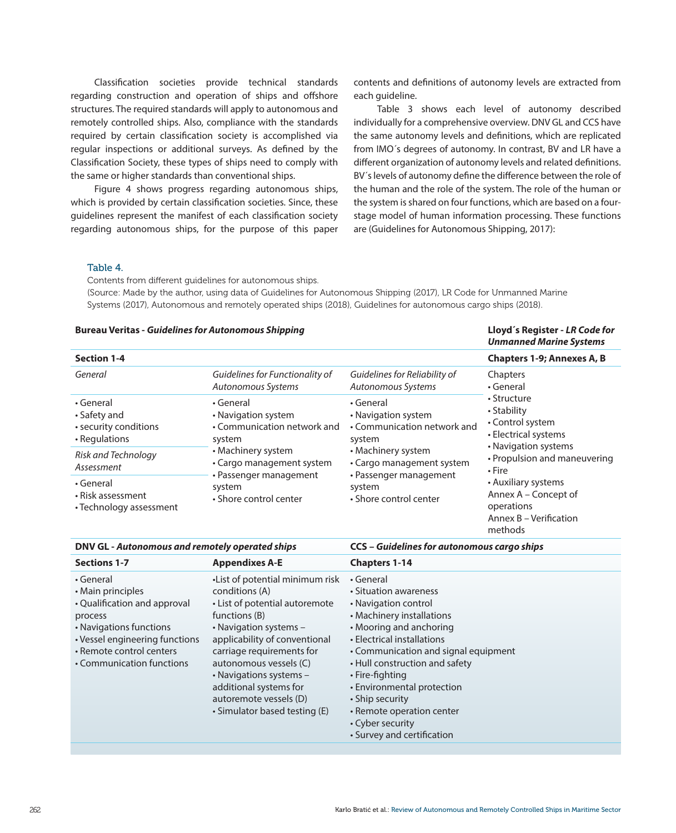Classification societies provide technical standards regarding construction and operation of ships and offshore structures. The required standards will apply to autonomous and remotely controlled ships. Also, compliance with the standards required by certain classification society is accomplished via regular inspections or additional surveys. As defined by the Classification Society, these types of ships need to comply with the same or higher standards than conventional ships.

Figure 4 shows progress regarding autonomous ships, which is provided by certain classification societies. Since, these guidelines represent the manifest of each classification society regarding autonomous ships, for the purpose of this paper

contents and definitions of autonomy levels are extracted from each guideline.

Table 3 shows each level of autonomy described individually for a comprehensive overview. DNV GL and CCS have the same autonomy levels and definitions, which are replicated from IMO´s degrees of autonomy. In contrast, BV and LR have a different organization of autonomy levels and related definitions. BV´s levels of autonomy define the difference between the role of the human and the role of the system. The role of the human or the system is shared on four functions, which are based on a fourstage model of human information processing. These functions are (Guidelines for Autonomous Shipping, 2017):

#### Table 4.

Contents from different guidelines for autonomous ships.

(Source: Made by the author, using data of Guidelines for Autonomous Shipping (2017), LR Code for Unmanned Marine Systems (2017), Autonomous and remotely operated ships (2018), Guidelines for autonomous cargo ships (2018).

| <b>Bureau Veritas - Guidelines for Autonomous Shipping</b>          |                                                                                                                                                                                            |                                                                                                                                                                                            | Lloyd's Register - LR Code for<br><b>Unmanned Marine Systems</b><br><b>Chapters 1-9; Annexes A, B</b>                                                                                                                                                                     |  |
|---------------------------------------------------------------------|--------------------------------------------------------------------------------------------------------------------------------------------------------------------------------------------|--------------------------------------------------------------------------------------------------------------------------------------------------------------------------------------------|---------------------------------------------------------------------------------------------------------------------------------------------------------------------------------------------------------------------------------------------------------------------------|--|
| <b>Section 1-4</b>                                                  |                                                                                                                                                                                            |                                                                                                                                                                                            |                                                                                                                                                                                                                                                                           |  |
| General                                                             | Guidelines for Functionality of<br>Autonomous Systems                                                                                                                                      | Guidelines for Reliability of<br>Autonomous Systems                                                                                                                                        | Chapters<br>• General<br>• Structure<br>• Stability<br>• Control system<br>• Electrical systems<br>• Navigation systems<br>• Propulsion and maneuvering<br>$\cdot$ Fire<br>• Auxiliary systems<br>Annex A – Concept of<br>operations<br>Annex B – Verification<br>methods |  |
| • General<br>• Safety and<br>• security conditions<br>• Regulations | • General<br>• Navigation system<br>• Communication network and<br>system<br>• Machinery system<br>• Cargo management system<br>• Passenger management<br>system<br>• Shore control center | • General<br>• Navigation system<br>• Communication network and<br>system<br>• Machinery system<br>• Cargo management system<br>• Passenger management<br>system<br>• Shore control center |                                                                                                                                                                                                                                                                           |  |
| Risk and Technology<br>Assessment                                   |                                                                                                                                                                                            |                                                                                                                                                                                            |                                                                                                                                                                                                                                                                           |  |
| • General<br>• Risk assessment<br>• Technology assessment           |                                                                                                                                                                                            |                                                                                                                                                                                            |                                                                                                                                                                                                                                                                           |  |

| <b>DNV GL - Autonomous and remotely operated ships</b>                                                                                                                                          |                                                                                                                                                                                                                                                                                                                                        | CCS - Guidelines for autonomous cargo ships                                                                                                                                                                                                                                                                                                                                   |
|-------------------------------------------------------------------------------------------------------------------------------------------------------------------------------------------------|----------------------------------------------------------------------------------------------------------------------------------------------------------------------------------------------------------------------------------------------------------------------------------------------------------------------------------------|-------------------------------------------------------------------------------------------------------------------------------------------------------------------------------------------------------------------------------------------------------------------------------------------------------------------------------------------------------------------------------|
| <b>Sections 1-7</b>                                                                                                                                                                             | <b>Appendixes A-E</b>                                                                                                                                                                                                                                                                                                                  | <b>Chapters 1-14</b>                                                                                                                                                                                                                                                                                                                                                          |
| • General<br>• Main principles<br>• Qualification and approval<br>process<br>• Navigations functions<br>• Vessel engineering functions<br>• Remote control centers<br>• Communication functions | •List of potential minimum risk<br>conditions (A)<br>• List of potential autoremote<br>functions (B)<br>• Navigation systems -<br>applicability of conventional<br>carriage requirements for<br>autonomous vessels (C)<br>• Navigations systems -<br>additional systems for<br>autoremote vessels (D)<br>• Simulator based testing (E) | • General<br>• Situation awareness<br>• Navigation control<br>• Machinery installations<br>• Mooring and anchoring<br>• Electrical installations<br>• Communication and signal equipment<br>• Hull construction and safety<br>• Fire-fighting<br>• Environmental protection<br>• Ship security<br>• Remote operation center<br>• Cyber security<br>• Survey and certification |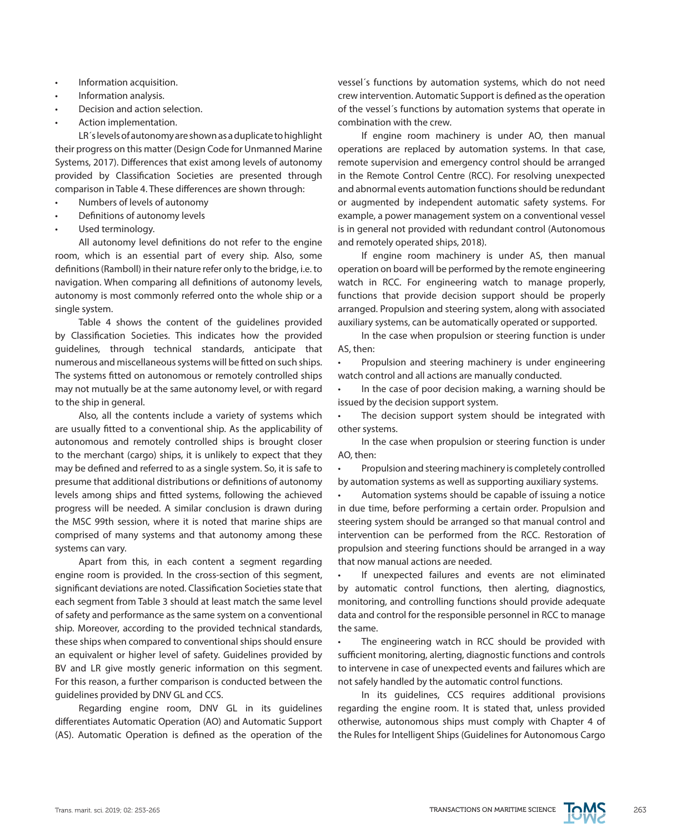- Information acquisition.
- Information analysis.
- Decision and action selection.
- Action implementation.

LR´s levels of autonomy are shown as a duplicate to highlight their progress on this matter (Design Code for Unmanned Marine Systems, 2017). Differences that exist among levels of autonomy provided by Classification Societies are presented through comparison in Table 4. These differences are shown through:

- Numbers of levels of autonomy
- Definitions of autonomy levels
- Used terminology.

All autonomy level definitions do not refer to the engine room, which is an essential part of every ship. Also, some definitions (Ramboll) in their nature refer only to the bridge, i.e. to navigation. When comparing all definitions of autonomy levels, autonomy is most commonly referred onto the whole ship or a single system.

Table 4 shows the content of the guidelines provided by Classification Societies. This indicates how the provided guidelines, through technical standards, anticipate that numerous and miscellaneous systems will be fitted on such ships. The systems fitted on autonomous or remotely controlled ships may not mutually be at the same autonomy level, or with regard to the ship in general.

Also, all the contents include a variety of systems which are usually fitted to a conventional ship. As the applicability of autonomous and remotely controlled ships is brought closer to the merchant (cargo) ships, it is unlikely to expect that they may be defined and referred to as a single system. So, it is safe to presume that additional distributions or definitions of autonomy levels among ships and fitted systems, following the achieved progress will be needed. A similar conclusion is drawn during the MSC 99th session, where it is noted that marine ships are comprised of many systems and that autonomy among these systems can vary.

Apart from this, in each content a segment regarding engine room is provided. In the cross-section of this segment, significant deviations are noted. Classification Societies state that each segment from Table 3 should at least match the same level of safety and performance as the same system on a conventional ship. Moreover, according to the provided technical standards, these ships when compared to conventional ships should ensure an equivalent or higher level of safety. Guidelines provided by BV and LR give mostly generic information on this segment. For this reason, a further comparison is conducted between the guidelines provided by DNV GL and CCS.

Regarding engine room, DNV GL in its guidelines differentiates Automatic Operation (AO) and Automatic Support (AS). Automatic Operation is defined as the operation of the vessel´s functions by automation systems, which do not need crew intervention. Automatic Support is defined as the operation of the vessel´s functions by automation systems that operate in combination with the crew.

If engine room machinery is under AO, then manual operations are replaced by automation systems. In that case, remote supervision and emergency control should be arranged in the Remote Control Centre (RCC). For resolving unexpected and abnormal events automation functions should be redundant or augmented by independent automatic safety systems. For example, a power management system on a conventional vessel is in general not provided with redundant control (Autonomous and remotely operated ships, 2018).

If engine room machinery is under AS, then manual operation on board will be performed by the remote engineering watch in RCC. For engineering watch to manage properly, functions that provide decision support should be properly arranged. Propulsion and steering system, along with associated auxiliary systems, can be automatically operated or supported.

In the case when propulsion or steering function is under AS, then:

Propulsion and steering machinery is under engineering watch control and all actions are manually conducted.

In the case of poor decision making, a warning should be issued by the decision support system.

The decision support system should be integrated with other systems.

In the case when propulsion or steering function is under AO, then:

Propulsion and steering machinery is completely controlled by automation systems as well as supporting auxiliary systems.

Automation systems should be capable of issuing a notice in due time, before performing a certain order. Propulsion and steering system should be arranged so that manual control and intervention can be performed from the RCC. Restoration of propulsion and steering functions should be arranged in a way that now manual actions are needed.

If unexpected failures and events are not eliminated by automatic control functions, then alerting, diagnostics, monitoring, and controlling functions should provide adequate data and control for the responsible personnel in RCC to manage the same.

The engineering watch in RCC should be provided with sufficient monitoring, alerting, diagnostic functions and controls to intervene in case of unexpected events and failures which are not safely handled by the automatic control functions.

In its guidelines, CCS requires additional provisions regarding the engine room. It is stated that, unless provided otherwise, autonomous ships must comply with Chapter 4 of the Rules for Intelligent Ships (Guidelines for Autonomous Cargo

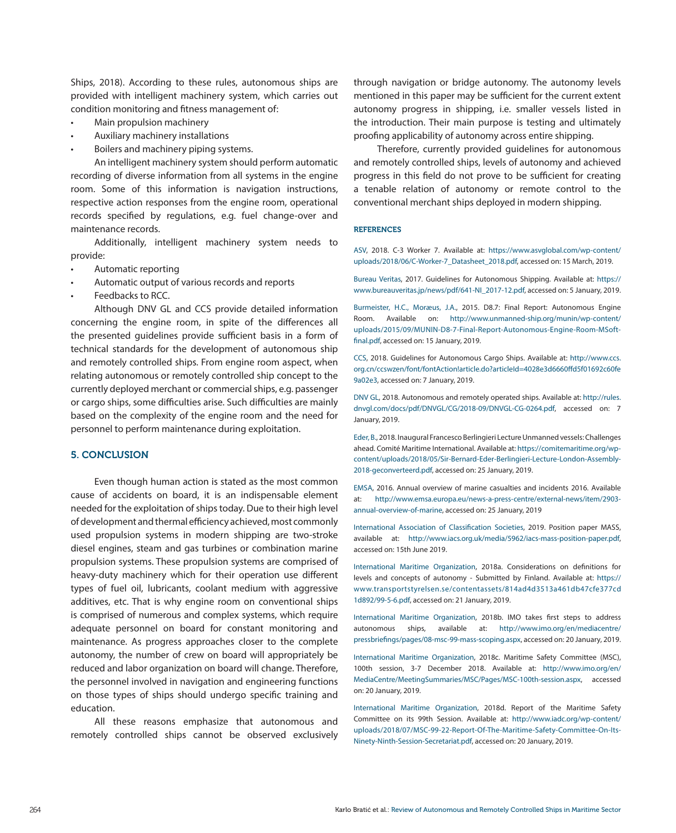Ships, 2018). According to these rules, autonomous ships are provided with intelligent machinery system, which carries out condition monitoring and fitness management of:

- Main propulsion machinery
- Auxiliary machinery installations
- Boilers and machinery piping systems.

An intelligent machinery system should perform automatic recording of diverse information from all systems in the engine room. Some of this information is navigation instructions, respective action responses from the engine room, operational records specified by regulations, e.g. fuel change-over and maintenance records.

Additionally, intelligent machinery system needs to provide:

- Automatic reporting
- Automatic output of various records and reports
- Feedbacks to RCC.

Although DNV GL and CCS provide detailed information concerning the engine room, in spite of the differences all the presented guidelines provide sufficient basis in a form of technical standards for the development of autonomous ship and remotely controlled ships. From engine room aspect, when relating autonomous or remotely controlled ship concept to the currently deployed merchant or commercial ships, e.g. passenger or cargo ships, some difficulties arise. Such difficulties are mainly based on the complexity of the engine room and the need for personnel to perform maintenance during exploitation.

#### 5. CONCLUSION

Even though human action is stated as the most common cause of accidents on board, it is an indispensable element needed for the exploitation of ships today. Due to their high level of development and thermal efficiency achieved, most commonly used propulsion systems in modern shipping are two-stroke diesel engines, steam and gas turbines or combination marine propulsion systems. These propulsion systems are comprised of heavy-duty machinery which for their operation use different types of fuel oil, lubricants, coolant medium with aggressive additives, etc. That is why engine room on conventional ships is comprised of numerous and complex systems, which require adequate personnel on board for constant monitoring and maintenance. As progress approaches closer to the complete autonomy, the number of crew on board will appropriately be reduced and labor organization on board will change. Therefore, the personnel involved in navigation and engineering functions on those types of ships should undergo specific training and education.

All these reasons emphasize that autonomous and remotely controlled ships cannot be observed exclusively through navigation or bridge autonomy. The autonomy levels mentioned in this paper may be sufficient for the current extent autonomy progress in shipping, i.e. smaller vessels listed in the introduction. Their main purpose is testing and ultimately proofing applicability of autonomy across entire shipping.

Therefore, currently provided guidelines for autonomous and remotely controlled ships, levels of autonomy and achieved progress in this field do not prove to be sufficient for creating a tenable relation of autonomy or remote control to the conventional merchant ships deployed in modern shipping.

#### **REFERENCES**

ASV, 2018. C-3 Worker 7. Available at: [https://www.asvglobal.com/wp-content/](https://www.asvglobal.com/wp-content/uploads/2018/06/C-Worker-7_Datasheet_2018.pdf) [uploads/2018/06/C-Worker-7\\_Datasheet\\_2018.pdf](https://www.asvglobal.com/wp-content/uploads/2018/06/C-Worker-7_Datasheet_2018.pdf), accessed on: 15 March, 2019.

Bureau Veritas, 2017. Guidelines for Autonomous Shipping. Available at: [https://](https://www.bureauveritas.jp/news/pdf/641-NI_2017-12.pdf) [www.bureauveritas.jp/news/pdf/641-NI\\_2017-12.pdf,](https://www.bureauveritas.jp/news/pdf/641-NI_2017-12.pdf) accessed on: 5 January, 2019.

Burmeister, H.C., Moræus, J.A., 2015. D8.7: Final Report: Autonomous Engine Room. Available on: [http://www.unmanned-ship.org/munin/wp-content/](http://www.unmanned-ship.org/munin/wp-content/uploads/2015/09/MUNIN-D8-7-Final-Report-Autonomous-Engine-Room-MSoft-final.pdf) [uploads/2015/09/MUNIN-D8-7-Final-Report-Autonomous-Engine-Room-MSoft](http://www.unmanned-ship.org/munin/wp-content/uploads/2015/09/MUNIN-D8-7-Final-Report-Autonomous-Engine-Room-MSoft-final.pdf)[final.pdf,](http://www.unmanned-ship.org/munin/wp-content/uploads/2015/09/MUNIN-D8-7-Final-Report-Autonomous-Engine-Room-MSoft-final.pdf) accessed on: 15 January, 2019.

CCS, 2018. Guidelines for Autonomous Cargo Ships. Available at: [http://www.ccs.](http://www.ccs.org.cn/ccswzen/font/fontAction%21article.do%3FarticleId%3D4028e3d6660ffd5f01692c60fe9a02e3) [org.cn/ccswzen/font/fontAction!article.do?articleId=4028e3d6660ffd5f01692c60fe](http://www.ccs.org.cn/ccswzen/font/fontAction%21article.do%3FarticleId%3D4028e3d6660ffd5f01692c60fe9a02e3) [9a02e3](http://www.ccs.org.cn/ccswzen/font/fontAction%21article.do%3FarticleId%3D4028e3d6660ffd5f01692c60fe9a02e3), accessed on: 7 January, 2019.

DNV GL, 2018. Autonomous and remotely operated ships. Available at: [http://rules.](http://rules.dnvgl.com/docs/pdf/DNVGL/CG/2018-09/DNVGL-CG-0264.pdf) [dnvgl.com/docs/pdf/DNVGL/CG/2018-09/DNVGL-CG-0264.pdf,](http://rules.dnvgl.com/docs/pdf/DNVGL/CG/2018-09/DNVGL-CG-0264.pdf) accessed on: 7 January, 2019.

Eder, B., 2018. Inaugural Francesco Berlingieri Lecture Unmanned vessels: Challenges ahead. Comité Maritime International. Available at: [https://comitemaritime.org/wp](https://comitemaritime.org/wp-content/uploads/2018/05/Sir-Bernard-Eder-Berlingieri-Lecture-London-Assembly-2018-geconverteerd.pdf)[content/uploads/2018/05/Sir-Bernard-Eder-Berlingieri-Lecture-London-Assembly-](https://comitemaritime.org/wp-content/uploads/2018/05/Sir-Bernard-Eder-Berlingieri-Lecture-London-Assembly-2018-geconverteerd.pdf)[2018-geconverteerd.pdf](https://comitemaritime.org/wp-content/uploads/2018/05/Sir-Bernard-Eder-Berlingieri-Lecture-London-Assembly-2018-geconverteerd.pdf), accessed on: 25 January, 2019.

EMSA, 2016. Annual overview of marine casualties and incidents 2016. Available at: [http://www.emsa.europa.eu/news-a-press-centre/external-news/item/2903](http://www.emsa.europa.eu/news-a-press-centre/external-news/item/2903-annual-overview-of-marine) [annual-overview-of-marine,](http://www.emsa.europa.eu/news-a-press-centre/external-news/item/2903-annual-overview-of-marine) accessed on: 25 January, 2019

International Association of Classification Societies, 2019. Position paper MASS, available at: <http://www.iacs.org.uk/media/5962/iacs-mass-position-paper.pdf>, accessed on: 15th June 2019.

International Maritime Organization, 2018a. Considerations on definitions for levels and concepts of autonomy - Submitted by Finland. Available at: [https://](https://www.transportstyrelsen.se/contentassets/814ad4d3513a461db47cfe377cd1d892/99-5-6.pdf) [www.transportstyrelsen.se/contentassets/814ad4d3513a461db47cfe377cd](https://www.transportstyrelsen.se/contentassets/814ad4d3513a461db47cfe377cd1d892/99-5-6.pdf) [1d892/99-5-6.pdf](https://www.transportstyrelsen.se/contentassets/814ad4d3513a461db47cfe377cd1d892/99-5-6.pdf), accessed on: 21 January, 2019.

International Maritime Organization, 2018b. IMO takes first steps to address autonomous ships, available at: [http://www.imo.org/en/mediacentre/](http://www.imo.org/en/mediacentre/pressbriefings/pages/08-msc-99-mass-scoping.aspx) [pressbriefings/pages/08-msc-99-mass-scoping.aspx](http://www.imo.org/en/mediacentre/pressbriefings/pages/08-msc-99-mass-scoping.aspx), accessed on: 20 January, 2019.

International Maritime Organization, 2018c. Maritime Safety Committee (MSC), 100th session, 3-7 December 2018. Available at: [http://www.imo.org/en/](http://www.imo.org/en/MediaCentre/MeetingSummaries/MSC/Pages/MSC-100th-session.aspx) [MediaCentre/MeetingSummaries/MSC/Pages/MSC-100th-session.aspx,](http://www.imo.org/en/MediaCentre/MeetingSummaries/MSC/Pages/MSC-100th-session.aspx) accessed on: 20 January, 2019.

International Maritime Organization, 2018d. Report of the Maritime Safety Committee on its 99th Session. Available at: [http://www.iadc.org/wp-content/](http://www.iadc.org/wp-content/uploads/2018/07/MSC-99-22-Report-Of-The-Maritime-Safety-Committee-On-Its-Ninety-Ninth-Session-Secretariat.pdf) [uploads/2018/07/MSC-99-22-Report-Of-The-Maritime-Safety-Committee-On-Its-](http://www.iadc.org/wp-content/uploads/2018/07/MSC-99-22-Report-Of-The-Maritime-Safety-Committee-On-Its-Ninety-Ninth-Session-Secretariat.pdf)[Ninety-Ninth-Session-Secretariat.pdf](http://www.iadc.org/wp-content/uploads/2018/07/MSC-99-22-Report-Of-The-Maritime-Safety-Committee-On-Its-Ninety-Ninth-Session-Secretariat.pdf), accessed on: 20 January, 2019.